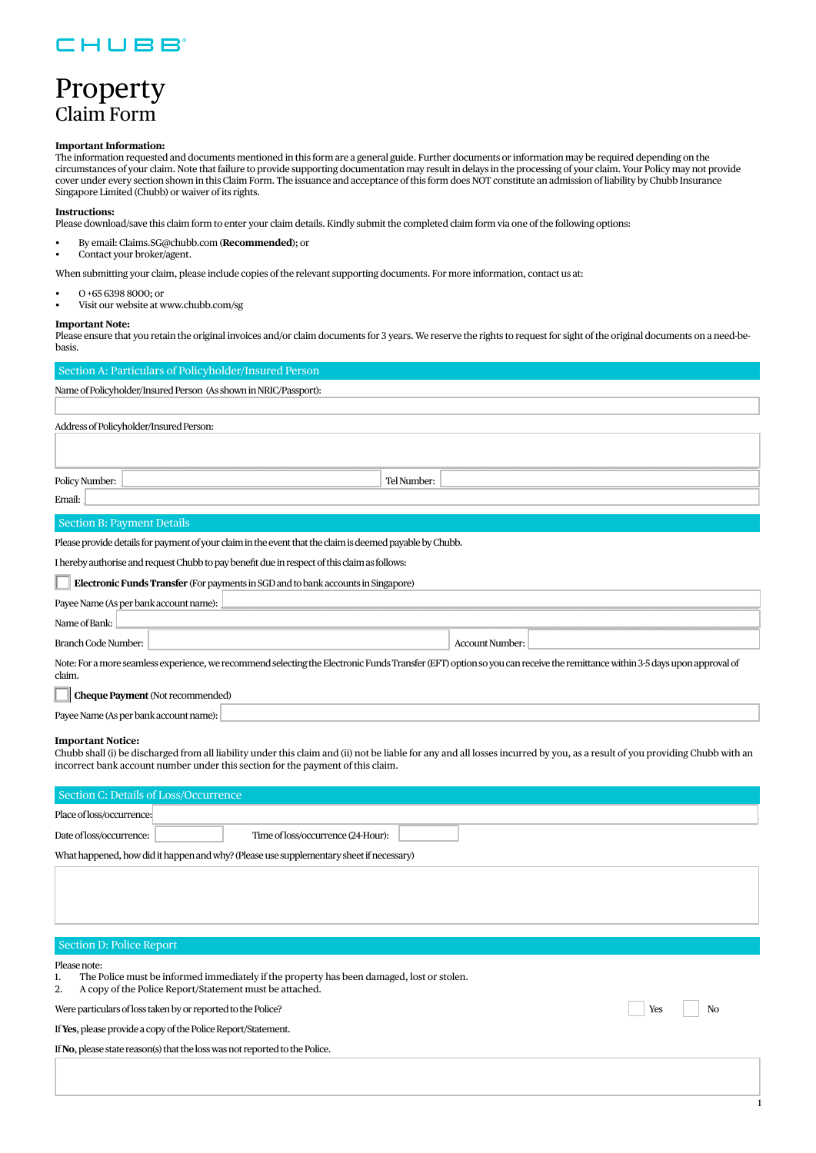### CHUBB

## Property Claim Form

#### **Important Information:**

The information requested and documents mentioned in this form are a general guide. Further documents or information may be required depending on the circumstances of your claim. Note that failure to provide supporting documentation may result in delays in the processing of your claim. Your Policy may not provide cover under every section shown in this Claim Form. The issuance and acceptance of this form does NOT constitute an admission of liability by Chubb Insurance Singapore Limited (Chubb) or waiver of its rights.

#### **Instructions:**

Please download/save this claim form to enter your claim details. Kindly submit the completed claim form via one of the following options:

- By email: Claims.SG@chubb.com (**Recommended**); or
- Contact your broker/agent.

When submitting your claim, please include copies of the relevant supporting documents. For more information, contact us at:

- O +65 6398 8000; or
- Visit our website at [www.chubb.com/sg](https://www.chubb.com/sg-en/)

#### **Important Note:**

Please ensure that you retain the original invoices and/or claim documents for 3 years. We reserve the rights to request for sight of the original documents on a need-bebasis.

| Section A: Particulars of Policyholder/Insured Person                                                                                                                                |  |  |  |  |
|--------------------------------------------------------------------------------------------------------------------------------------------------------------------------------------|--|--|--|--|
| Name of Policyholder/Insured Person (As shown in NRIC/Passport):                                                                                                                     |  |  |  |  |
|                                                                                                                                                                                      |  |  |  |  |
| Address of Policyholder/Insured Person:                                                                                                                                              |  |  |  |  |
|                                                                                                                                                                                      |  |  |  |  |
| Policy Number:<br>Tel Number:                                                                                                                                                        |  |  |  |  |
| Email:                                                                                                                                                                               |  |  |  |  |
| <b>Section B: Payment Details</b>                                                                                                                                                    |  |  |  |  |
| Please provide details for payment of your claim in the event that the claim is deemed payable by Chubb.                                                                             |  |  |  |  |
| I hereby authorise and request Chubb to pay benefit due in respect of this claim as follows:                                                                                         |  |  |  |  |
| Electronic Funds Transfer (For payments in SGD and to bank accounts in Singapore)                                                                                                    |  |  |  |  |
| Payee Name (As per bank account name):                                                                                                                                               |  |  |  |  |
| Name of Bank:                                                                                                                                                                        |  |  |  |  |
| Branch Code Number:<br><b>Account Number:</b>                                                                                                                                        |  |  |  |  |
| Note: For a more seamless experience, we recommend selecting the Electronic Funds Transfer (EFT) option so you can receive the remittance within 3-5 days upon approval of<br>claim. |  |  |  |  |
| Cheque Payment (Not recommended)                                                                                                                                                     |  |  |  |  |
| Payee Name (As per bank account name):                                                                                                                                               |  |  |  |  |
| <b>Important Notice:</b><br>Alab dell (Medicine Dennell Peletterra der det eletrent d'America del Peletterra dell'Incentron del commune de considera Alab Alab del co                |  |  |  |  |

Chubb shall (i) be discharged from all liability under this claim and (ii) not be liable for any and all losses incurred by you, as a result of you providing Chubb with an incorrect bank account number under this section for the payment of this claim.

| Section C: Details of Loss/Occurrence                                                                                                                                            |           |  |  |  |
|----------------------------------------------------------------------------------------------------------------------------------------------------------------------------------|-----------|--|--|--|
| Place of loss/occurrence:                                                                                                                                                        |           |  |  |  |
| Time of loss/occurrence (24-Hour):<br>Date of loss/occurrence:                                                                                                                   |           |  |  |  |
| What happened, how did it happen and why? (Please use supplementary sheet if necessary)                                                                                          |           |  |  |  |
|                                                                                                                                                                                  |           |  |  |  |
|                                                                                                                                                                                  |           |  |  |  |
| Section D: Police Report                                                                                                                                                         |           |  |  |  |
| Please note:<br>The Police must be informed immediately if the property has been damaged, lost or stolen.<br>1.<br>A copy of the Police Report/Statement must be attached.<br>2. |           |  |  |  |
| Were particulars of loss taken by or reported to the Police?                                                                                                                     | Yes<br>No |  |  |  |
| If Yes, please provide a copy of the Police Report/Statement.                                                                                                                    |           |  |  |  |
| If No, please state reason(s) that the loss was not reported to the Police.                                                                                                      |           |  |  |  |
|                                                                                                                                                                                  |           |  |  |  |

\_\_\_\_\_\_\_\_\_\_\_\_\_\_\_\_\_\_\_\_\_\_\_\_\_\_\_\_\_\_\_\_\_\_\_\_\_\_\_\_\_\_\_\_\_\_\_\_\_\_\_\_\_\_\_\_\_\_\_\_\_\_\_\_\_\_\_\_\_\_\_\_\_\_\_\_\_\_\_\_\_\_\_\_\_\_\_\_\_\_\_\_\_\_\_\_\_\_\_\_\_\_\_\_\_\_\_\_\_\_\_\_\_\_\_\_\_\_\_\_\_\_\_\_\_\_\_\_\_\_\_\_\_\_\_\_\_\_\_\_\_\_\_\_\_\_\_\_\_\_\_\_\_\_\_\_\_\_\_\_\_\_\_\_\_\_\_\_\_\_\_\_\_\_\_\_\_\_\_\_\_\_\_\_\_\_\_\_\_\_\_\_\_\_\_\_\_\_\_\_\_\_\_\_\_\_\_\_\_\_\_\_\_\_\_\_\_\_\_\_\_\_\_\_\_\_\_\_\_\_\_\_\_\_\_\_\_\_\_\_\_\_

1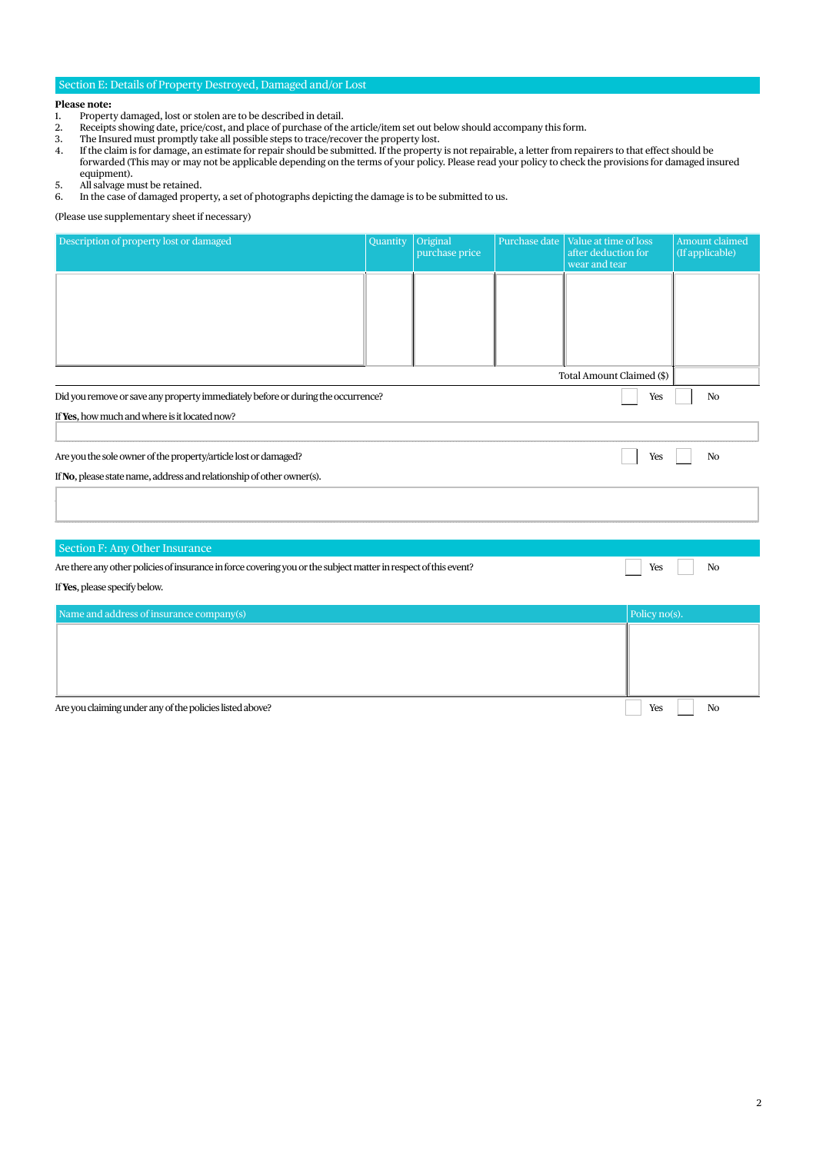#### Section E: Details of Property Destroyed, Damaged and/or Lost

## **Please note:**<br>1. Propert

- 1. Property damaged, lost or stolen are to be described in detail.<br>2. Receipts showing date, price/cost, and place of purchase of the
- 2. Receipts showing date, price/cost, and place of purchase of the article/item set out below should accompany this form.
- 3. The Insured must promptly take all possible steps to trace/recover the property lost.
- 4. If the claim is for damage, an estimate for repair should be submitted. If the property is not repairable, a letter from repairers to that effect should be forwarded (This may or may not be applicable depending on the terms of your policy. Please read your policy to check the provisions for damaged insured equipment).
- 5. All salvage must be retained.<br>6. In the case of damaged prope
- 6. In the case of damaged property, a set of photographs depicting the damage is to be submitted to us.

(Please use supplementary sheet if necessary)

| Description of property lost or damaged                                                                         | Quantity | Original<br>purchase price | Purchase date | Value at time of loss<br>after deduction for<br>wear and tear | Amount claimed<br>(If applicable) |
|-----------------------------------------------------------------------------------------------------------------|----------|----------------------------|---------------|---------------------------------------------------------------|-----------------------------------|
|                                                                                                                 |          |                            |               |                                                               |                                   |
|                                                                                                                 |          |                            |               |                                                               |                                   |
|                                                                                                                 |          |                            |               |                                                               |                                   |
|                                                                                                                 |          |                            |               | Total Amount Claimed (\$)                                     |                                   |
| Did you remove or save any property immediately before or during the occurrence?<br>Yes<br>No                   |          |                            |               |                                                               |                                   |
| If Yes, how much and where is it located now?                                                                   |          |                            |               |                                                               |                                   |
| Are you the sole owner of the property/article lost or damaged?<br>Yes<br>No                                    |          |                            |               |                                                               |                                   |
| If No, please state name, address and relationship of other owner(s).                                           |          |                            |               |                                                               |                                   |
|                                                                                                                 |          |                            |               |                                                               |                                   |
| Section F: Any Other Insurance                                                                                  |          |                            |               |                                                               |                                   |
| Are there any other policies of insurance in force covering you or the subject matter in respect of this event? |          |                            |               | Yes                                                           | No                                |
| If Yes, please specify below.                                                                                   |          |                            |               |                                                               |                                   |
| Name and address of insurance company(s)                                                                        |          |                            |               | Policy no(s).                                                 |                                   |
|                                                                                                                 |          |                            |               |                                                               |                                   |
|                                                                                                                 |          |                            |               |                                                               |                                   |
|                                                                                                                 |          |                            |               |                                                               |                                   |
|                                                                                                                 |          |                            |               |                                                               | $\sqrt{2}$                        |

Are you claiming under any of the policies listed above?